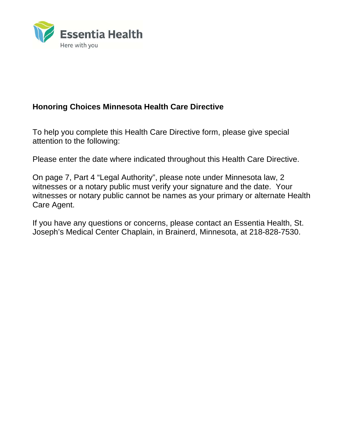

# **Honoring Choices Minnesota Health Care Directive**

To help you complete this Health Care Directive form, please give special attention to the following:

Please enter the date where indicated throughout this Health Care Directive.

On page 7, Part 4 "Legal Authority", please note under Minnesota law, 2 witnesses or a notary public must verify your signature and the date. Your witnesses or notary public cannot be names as your primary or alternate Health Care Agent.

If you have any questions or concerns, please contact an Essentia Health, St. Joseph's Medical Center Chaplain, in Brainerd, Minnesota, at 218-828-7530.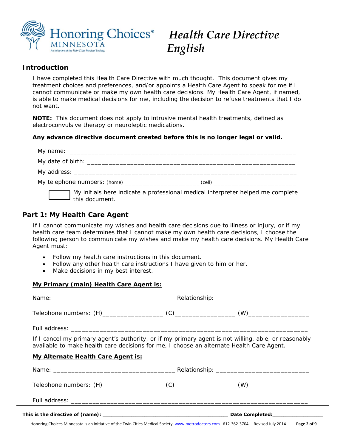

# *English*

# **Introduction**

I have completed this Health Care Directive with much thought. This document gives my treatment choices and preferences, and/or appoints a Health Care Agent to speak for me if I cannot communicate or make my own health care decisions. My Health Care Agent, if named, is able to make medical decisions for me, including the decision to refuse treatments that I do not want.

*NOTE: This document does not apply to intrusive mental health treatments, defined as electroconvulsive therapy or neuroleptic medications.* 

# **Any advance directive document created before this is no longer legal or valid.**

|                       | My telephone numbers: (home) ___________________________(cell) _________________ |
|-----------------------|----------------------------------------------------------------------------------|
| $\Box$ this document. | My initials here indicate a professional medical interpreter helped me complete  |

# **Part 1: My Health Care Agent**

If I cannot communicate my wishes and health care decisions due to illness or injury, or if my health care team determines that I cannot make my own health care decisions, I choose the following person to communicate my wishes and make my health care decisions. My Health Care Agent must:

- Follow my health care instructions in this document.
- Follow any other health care instructions I have given to him or her.
- Make decisions in my best interest.

#### **My Primary (main) Health Care Agent is:**

| If I cancel my primary agent's authority, or if my primary agent is not willing, able, or reasonably<br>available to make health care decisions for me, I choose an alternate Health Care Agent. |  |  |  |
|--------------------------------------------------------------------------------------------------------------------------------------------------------------------------------------------------|--|--|--|
| <b>My Alternate Health Care Agent is:</b>                                                                                                                                                        |  |  |  |
|                                                                                                                                                                                                  |  |  |  |
|                                                                                                                                                                                                  |  |  |  |
|                                                                                                                                                                                                  |  |  |  |
|                                                                                                                                                                                                  |  |  |  |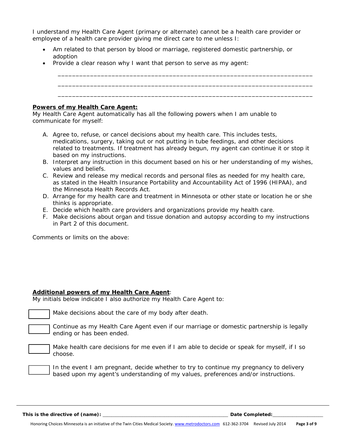I understand my Health Care Agent (primary or alternate) cannot be a health care provider or employee of a health care provider giving me direct care to me unless I:

 Am related to that person by blood or marriage, registered domestic partnership, or adoption

*\_\_\_\_\_\_\_\_\_\_\_\_\_\_\_\_\_\_\_\_\_\_\_\_\_\_\_\_\_\_\_\_\_\_\_\_\_\_\_\_\_\_\_\_\_\_\_\_\_\_\_\_\_\_\_\_\_\_\_\_\_\_\_\_\_\_\_\_\_\_\_*

• Provide a clear reason why I want that person to serve as my agent:

#### **Powers of my Health Care Agent:**

My Health Care Agent automatically has all the following powers when I am unable to communicate for myself:

- A. Agree to, refuse, or cancel decisions about my health care. This includes tests, medications, surgery, taking out or not putting in tube feedings, and other decisions related to treatments. If treatment has already begun, my agent can continue it or stop it based on my instructions.
- B. Interpret any instruction in this document based on his or her understanding of my wishes, values and beliefs.
- C. Review and release my medical records and personal files as needed for my health care, as stated in the Health Insurance Portability and Accountability Act of 1996 (HIPAA), and the Minnesota Health Records Act.
- D. Arrange for my health care and treatment in Minnesota or other state or location he or she thinks is appropriate.
- E. Decide which health care providers and organizations provide my health care.
- F. Make decisions about organ and tissue donation and autopsy according to my instructions in Part 2 of this document.

Comments or limits on the above:

#### **Additional powers of my Health Care Agent**:

My initials below indicate I also authorize my Health Care Agent to:

Make decisions about the care of my body after death.

Continue as my Health Care Agent even if our marriage or domestic partnership is legally ending or has been ended.

 Make health care decisions for me even if I am able to decide or speak for myself, if I so choose.

In the event I am pregnant, decide whether to try to continue my pregnancy to delivery based upon my agent's understanding of my values, preferences and/or instructions.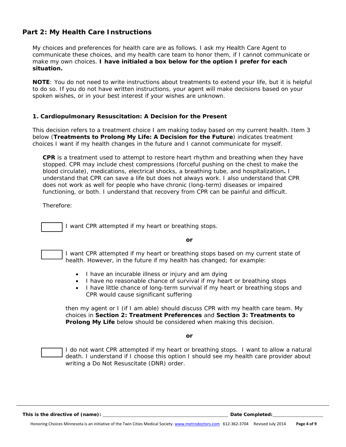# **Part 2: My Health Care Instructions**

My choices and preferences for health care are as follows. I ask my Health Care Agent to communicate these choices, and my health care team to honor them, if I cannot communicate or make my own choices. **I have initialed a box below for the option I prefer for each situation.**

*NOTE: You do not need to write instructions about treatments to extend your life, but it is helpful to do so. If you do not have written instructions, your agent will make decisions based on your spoken wishes, or in your best interest if your wishes are unknown.* 

#### **1. Cardiopulmonary Resuscitation: A Decision for the Present**

This decision refers to a treatment choice I am making today based on my current health. Item 3 below (**Treatments to Prolong My Life: A Decision for the Future**) indicates treatment choices I want if my health changes in the future and I cannot communicate for myself.

**CPR** is a treatment used to attempt to restore heart rhythm and breathing when they have stopped. CPR may include chest compressions (forceful pushing on the chest to make the blood circulate), medications, electrical shocks, a breathing tube, and hospitalization**.** I understand that CPR can save a life but does not always work. I also understand that CPR does not work as well for people who have chronic (long-term) diseases or impaired functioning, or both. I understand that recovery from CPR can be painful and difficult.

Therefore:

I want CPR attempted if my heart or breathing stops.

*or* 

I want CPR attempted if my heart or breathing stops based on my current state of health. However, in the future if my health has changed; for example:

- I have an incurable illness or injury and am dying
- I have no reasonable chance of survival if my heart or breathing stops
- I have little chance of long-term survival if my heart or breathing stops and CPR would cause significant suffering

then my agent or I (if I am able) should discuss CPR with my health care team. My choices in **Section 2: Treatment Preferences** and **Section 3: Treatments to Prolong My Life** below should be considered when making this decision.

*or* 

I do not want CPR attempted if my heart or breathing stops. I want to allow a natural death. I understand if I choose this option I should see my health care provider about writing a Do Not Resuscitate (DNR) order.

*This is the directive of (name):* <u>*Letter and the set of the set of the set of the set of the set of the set of the set of the set of the set of the set of the set of the set of the set of the set of the set of the set o</u>*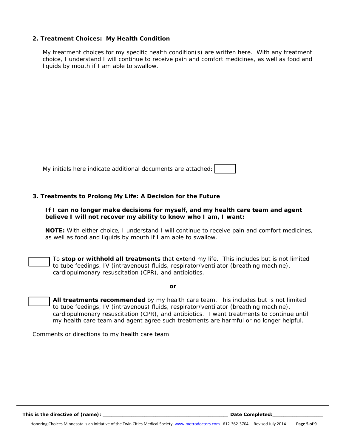#### **2. Treatment Choices: My Health Condition**

My treatment choices for my specific health condition(s) are written here. With any treatment choice, I understand I will continue to receive pain and comfort medicines, as well as food and liquids by mouth if I am able to swallow.

| My initials here indicate additional documents are attached: |  |
|--------------------------------------------------------------|--|
|--------------------------------------------------------------|--|

#### **3. Treatments to Prolong My Life: A Decision for the Future**

#### **If I can no longer make decisions for myself, and my health care team and agent believe I will not recover my ability to know who I am, I want:**

**NOTE:** With either choice, I understand I will continue to receive pain and comfort medicines, as well as food and liquids by mouth if I am able to swallow.

To **stop or withhold all treatments** that extend my life. This includes but is not limited to tube feedings, IV (intravenous) fluids, respirator/ventilator (breathing machine), cardiopulmonary resuscitation (CPR), and antibiotics.

*or* 

**All treatments recommended** by my health care team. This includes but is not limited to tube feedings, IV (intravenous) fluids, respirator/ventilator (breathing machine), cardiopulmonary resuscitation (CPR), and antibiotics. I want treatments to continue until my health care team and agent agree such treatments are harmful or no longer helpful.

Comments or directions to my health care team:

*This is the directive of (name):* <u>*lease and the set of the set of the set of the set of the set of the set of the set of the set of the set of the set of the set of the set of the set of the set of the set of the set of</u>*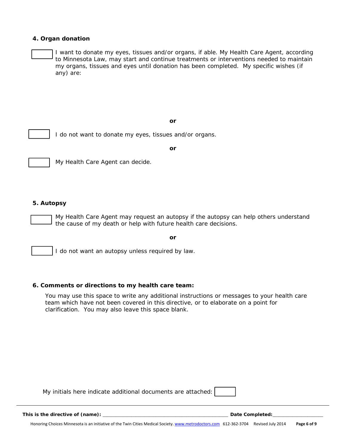#### **4. Organ donation**

I want to donate my eyes, tissues and/or organs, if able. My Health Care Agent, according to Minnesota Law, may start and continue treatments or interventions needed to maintain my organs, tissues and eyes until donation has been completed. My specific wishes (if any) are:

*or* 



I do not want to donate my eyes, tissues and/or organs.

*or* 

#### **5. Autopsy**

My Health Care Agent may request an autopsy if the autopsy can help others understand the cause of my death or help with future health care decisions.

*or* 

I do not want an autopsy unless required by law.

#### **6. Comments or directions to my health care team:**

My Health Care Agent can decide.

*You may use this space to write any additional instructions or messages to your health care team which have not been covered in this directive, or to elaborate on a point for clarification. You may also leave this space blank.* 

*My initials here indicate additional documents are attached:*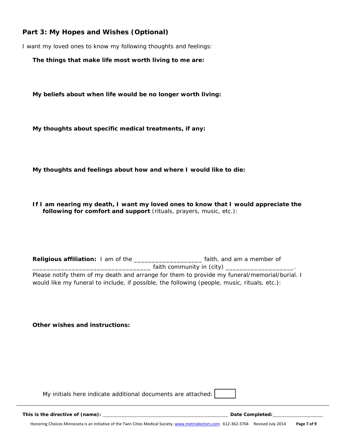# **Part 3: My Hopes and Wishes** *(Optional)*

I want my loved ones to know my following thoughts and feelings:

**The things that make life most worth living to me are:** 

**My beliefs about when life would be no longer worth living:** 

**My thoughts about specific medical treatments, if any:** 

**My thoughts and feelings about how and where I would like to die:** 

**If I am nearing my death, I want my loved ones to know that I would appreciate the following for comfort and support** (rituals, prayers, music, etc.):

Religious affiliation: I am of the \_\_\_\_\_\_\_\_\_\_\_\_\_\_\_\_\_\_\_\_\_\_ faith, and am a member of \_\_\_\_\_\_\_\_\_\_\_\_\_\_\_\_\_\_\_\_\_\_\_\_\_\_\_\_\_\_\_\_\_ faith community in (city) \_\_\_\_\_\_\_\_\_\_\_\_\_\_\_\_\_\_\_. Please notify them of my death and arrange for them to provide my funeral/memorial/burial. I would like my funeral to include, if possible, the following (people, music, rituals, etc.):

**Other wishes and instructions:** 

*My initials here indicate additional documents are attached:* 

*This is the directive of (name):* \_\_\_\_\_\_\_\_\_\_\_\_\_\_\_\_\_\_\_\_\_\_\_\_\_\_\_\_\_\_\_\_\_\_\_\_\_\_\_\_\_\_\_\_\_\_\_\_\_\_\_\_\_\_\_\_\_ *Date Completed:*\_\_\_\_\_\_\_\_\_\_\_\_\_\_\_\_\_\_\_\_\_\_\_

Honoring Choices Minnesota is an initiative of the Twin Cities Medical Society. www.metrodoctors.com 612‐362‐3704 Revised July 2014 **Page 7 of 9**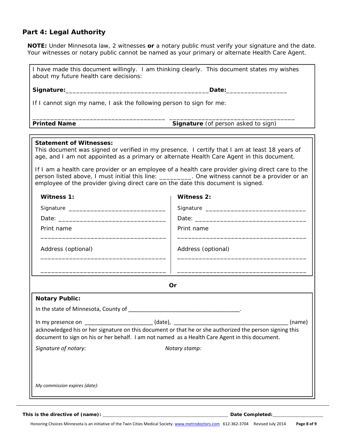# **Part 4: Legal Authority**

| about my future health care decisions:                                                                                                                                                                                              | I have made this document willingly. I am thinking clearly. This document states my wishes                                                                                            |
|-------------------------------------------------------------------------------------------------------------------------------------------------------------------------------------------------------------------------------------|---------------------------------------------------------------------------------------------------------------------------------------------------------------------------------------|
|                                                                                                                                                                                                                                     | _Date:__________________                                                                                                                                                              |
|                                                                                                                                                                                                                                     |                                                                                                                                                                                       |
|                                                                                                                                                                                                                                     | If I cannot sign my name, I ask the following person to sign for me:                                                                                                                  |
| <b>Printed Name</b>                                                                                                                                                                                                                 | Signature (of person asked to sign)                                                                                                                                                   |
|                                                                                                                                                                                                                                     |                                                                                                                                                                                       |
| <b>Statement of Witnesses:</b>                                                                                                                                                                                                      | This document was signed or verified in my presence. I certify that I am at least 18 years of                                                                                         |
|                                                                                                                                                                                                                                     | age, and I am not appointed as a primary or alternate Health Care Agent in this document.                                                                                             |
|                                                                                                                                                                                                                                     | If I am a health care provider or an employee of a health care provider giving direct care to the                                                                                     |
|                                                                                                                                                                                                                                     | person listed above, I must initial this line: __________. One witness cannot be a provider or an<br>employee of the provider giving direct care on the date this document is signed. |
|                                                                                                                                                                                                                                     |                                                                                                                                                                                       |
| Witness 1:                                                                                                                                                                                                                          | <b>Witness 2:</b>                                                                                                                                                                     |
|                                                                                                                                                                                                                                     |                                                                                                                                                                                       |
| Date: <u>Date:</u> 2004 and 2007 and 2008 and 2008 and 2008 and 2008 and 2008 and 2008 and 2008 and 2008 and 2008 and 2008 and 2008 and 2008 and 2008 and 2008 and 2008 and 2008 and 2008 and 2008 and 2008 and 2008 and 2008 and 2 |                                                                                                                                                                                       |
| Print name                                                                                                                                                                                                                          | Print name                                                                                                                                                                            |
| Address (optional)                                                                                                                                                                                                                  | Address (optional)                                                                                                                                                                    |
|                                                                                                                                                                                                                                     |                                                                                                                                                                                       |
|                                                                                                                                                                                                                                     | <b>Or</b>                                                                                                                                                                             |
| <b>Notary Public:</b>                                                                                                                                                                                                               |                                                                                                                                                                                       |
|                                                                                                                                                                                                                                     |                                                                                                                                                                                       |
| (name)                                                                                                                                                                                                                              |                                                                                                                                                                                       |
|                                                                                                                                                                                                                                     | document to sign on his or her behalf. I am not named as a Health Care Agent in this document.                                                                                        |
| Signature of notary:                                                                                                                                                                                                                | Notary stamp:                                                                                                                                                                         |
|                                                                                                                                                                                                                                     |                                                                                                                                                                                       |
|                                                                                                                                                                                                                                     |                                                                                                                                                                                       |